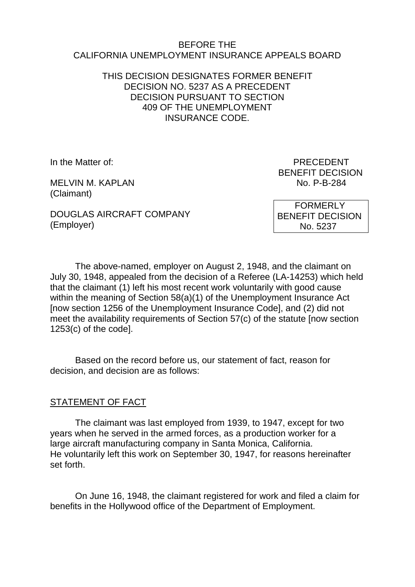#### BEFORE THE CALIFORNIA UNEMPLOYMENT INSURANCE APPEALS BOARD

### THIS DECISION DESIGNATES FORMER BENEFIT DECISION NO. 5237 AS A PRECEDENT DECISION PURSUANT TO SECTION 409 OF THE UNEMPLOYMENT INSURANCE CODE.

MELVIN M. KAPLAN NO. P-B-284 (Claimant)

In the Matter of: **PRECEDENT** BENEFIT DECISION

DOUGLAS AIRCRAFT COMPANY (Employer)

 FORMERLY BENEFIT DECISION No. 5237

The above-named, employer on August 2, 1948, and the claimant on July 30, 1948, appealed from the decision of a Referee (LA-14253) which held that the claimant (1) left his most recent work voluntarily with good cause within the meaning of Section 58(a)(1) of the Unemployment Insurance Act [now section 1256 of the Unemployment Insurance Code], and (2) did not meet the availability requirements of Section 57(c) of the statute [now section 1253(c) of the code].

Based on the record before us, our statement of fact, reason for decision, and decision are as follows:

## STATEMENT OF FACT

The claimant was last employed from 1939, to 1947, except for two years when he served in the armed forces, as a production worker for a large aircraft manufacturing company in Santa Monica, California. He voluntarily left this work on September 30, 1947, for reasons hereinafter set forth.

On June 16, 1948, the claimant registered for work and filed a claim for benefits in the Hollywood office of the Department of Employment.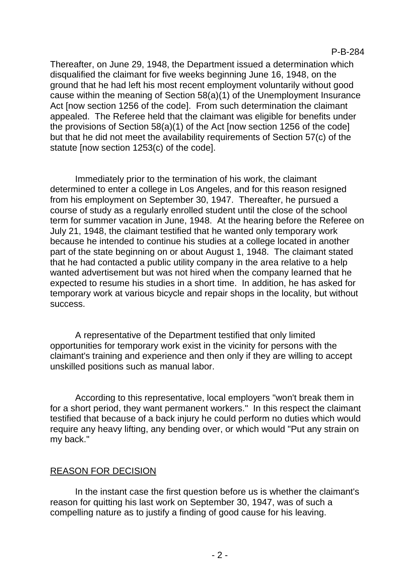Thereafter, on June 29, 1948, the Department issued a determination which disqualified the claimant for five weeks beginning June 16, 1948, on the ground that he had left his most recent employment voluntarily without good cause within the meaning of Section 58(a)(1) of the Unemployment Insurance Act [now section 1256 of the code]. From such determination the claimant appealed. The Referee held that the claimant was eligible for benefits under the provisions of Section 58(a)(1) of the Act [now section 1256 of the code] but that he did not meet the availability requirements of Section 57(c) of the statute [now section 1253(c) of the code].

Immediately prior to the termination of his work, the claimant determined to enter a college in Los Angeles, and for this reason resigned from his employment on September 30, 1947. Thereafter, he pursued a course of study as a regularly enrolled student until the close of the school term for summer vacation in June, 1948. At the hearing before the Referee on July 21, 1948, the claimant testified that he wanted only temporary work because he intended to continue his studies at a college located in another part of the state beginning on or about August 1, 1948. The claimant stated that he had contacted a public utility company in the area relative to a help wanted advertisement but was not hired when the company learned that he expected to resume his studies in a short time. In addition, he has asked for temporary work at various bicycle and repair shops in the locality, but without success.

A representative of the Department testified that only limited opportunities for temporary work exist in the vicinity for persons with the claimant's training and experience and then only if they are willing to accept unskilled positions such as manual labor.

According to this representative, local employers "won't break them in for a short period, they want permanent workers." In this respect the claimant testified that because of a back injury he could perform no duties which would require any heavy lifting, any bending over, or which would "Put any strain on my back."

## REASON FOR DECISION

In the instant case the first question before us is whether the claimant's reason for quitting his last work on September 30, 1947, was of such a compelling nature as to justify a finding of good cause for his leaving.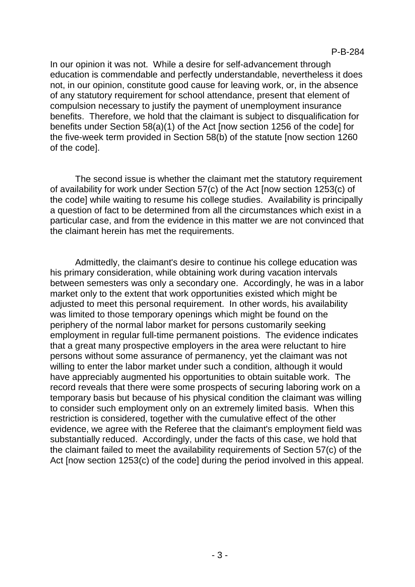In our opinion it was not. While a desire for self-advancement through education is commendable and perfectly understandable, nevertheless it does not, in our opinion, constitute good cause for leaving work, or, in the absence of any statutory requirement for school attendance, present that element of compulsion necessary to justify the payment of unemployment insurance benefits. Therefore, we hold that the claimant is subject to disqualification for benefits under Section 58(a)(1) of the Act [now section 1256 of the code] for the five-week term provided in Section 58(b) of the statute [now section 1260 of the code].

The second issue is whether the claimant met the statutory requirement of availability for work under Section 57(c) of the Act [now section 1253(c) of the code] while waiting to resume his college studies. Availability is principally a question of fact to be determined from all the circumstances which exist in a particular case, and from the evidence in this matter we are not convinced that the claimant herein has met the requirements.

Admittedly, the claimant's desire to continue his college education was his primary consideration, while obtaining work during vacation intervals between semesters was only a secondary one. Accordingly, he was in a labor market only to the extent that work opportunities existed which might be adjusted to meet this personal requirement. In other words, his availability was limited to those temporary openings which might be found on the periphery of the normal labor market for persons customarily seeking employment in regular full-time permanent poistions. The evidence indicates that a great many prospective employers in the area were reluctant to hire persons without some assurance of permanency, yet the claimant was not willing to enter the labor market under such a condition, although it would have appreciably augmented his opportunities to obtain suitable work. The record reveals that there were some prospects of securing laboring work on a temporary basis but because of his physical condition the claimant was willing to consider such employment only on an extremely limited basis. When this restriction is considered, together with the cumulative effect of the other evidence, we agree with the Referee that the claimant's employment field was substantially reduced. Accordingly, under the facts of this case, we hold that the claimant failed to meet the availability requirements of Section 57(c) of the Act [now section 1253(c) of the code] during the period involved in this appeal.